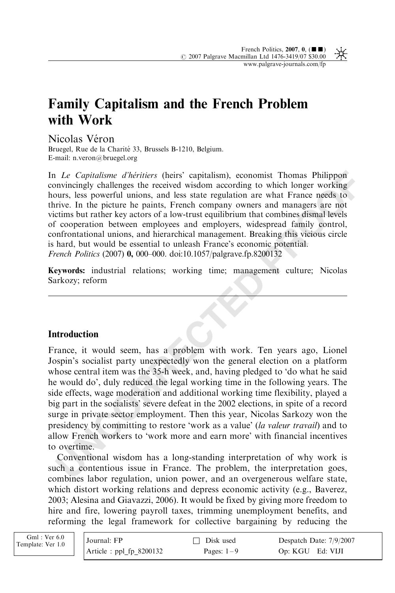## Family Capitalism and the French Problem with Work

Nicolas Véron

Bruegel, Rue de la Charité 33, Brussels B-1210, Belgium. E-mail: n.veron@bruegel.org

In Le Capitalisme d'héritiers (heirs' capitalism), economist Thomas Philippon convincingly challenges the received wisdom according to which longer working hours, less powerful unions, and less state regulation are what France needs to thrive. In the picture he paints, French company owners and managers are not victims but rather key actors of a low-trust equilibrium that combines dismal levels of cooperation between employees and employers, widespread family control, confrontational unions, and hierarchical management. Breaking this vicious circle is hard, but would be essential to unleash France's economic potential. French Politics (2007) 0, 000–000. doi:10.1057/palgrave.fp.8200132

Keywords: industrial relations; working time; management culture; Nicolas Sarkozy; reform

## **Introduction**

*Le Capitalisme d'héritiers* (heirs' capitalism), economist Thomas Philippon<br>moviesingly challenges the received wisdom according to which longer working<br>nutrice. In the picture he paints, French company owners and manager France, it would seem, has a problem with work. Ten years ago, Lionel Jospin's socialist party unexpectedly won the general election on a platform whose central item was the 35-h week, and, having pledged to 'do what he said he would do', duly reduced the legal working time in the following years. The side effects, wage moderation and additional working time flexibility, played a big part in the socialists' severe defeat in the 2002 elections, in spite of a record surge in private sector employment. Then this year, Nicolas Sarkozy won the presidency by committing to restore 'work as a value' (la valeur travail) and to allow French workers to 'work more and earn more' with financial incentives to overtime.

Conventional wisdom has a long-standing interpretation of why work is such a contentious issue in France. The problem, the interpretation goes, combines labor regulation, union power, and an overgenerous welfare state, which distort working relations and depress economic activity (e.g., Baverez, 2003; Alesina and Giavazzi, 2006). It would be fixed by giving more freedom to hire and fire, lowering payroll taxes, trimming unemployment benefits, and reforming the legal framework for collective bargaining by reducing the

| $Gml$ : Ver 6.0<br>Template: Ver 1.0 | Journal: FP              | □ Disk used  | Despatch Date: 7/9/2007 |
|--------------------------------------|--------------------------|--------------|-------------------------|
|                                      | $Article: pp1fp_8200132$ | Pages: $1-9$ | Op: KGU Ed: VIJI        |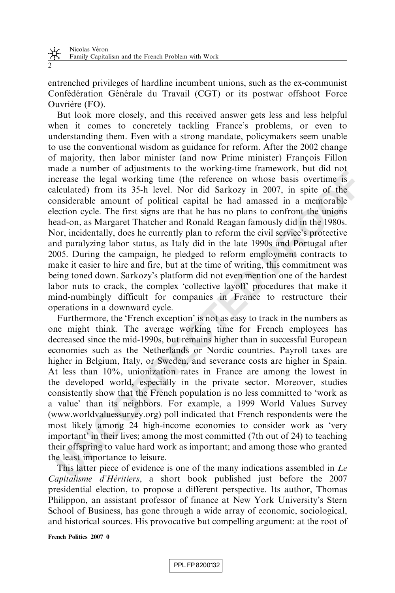entrenched privileges of hardline incumbent unions, such as the ex-communist Confédération Générale du Travail (CGT) or its postwar offshoot Force Ouvrière (FO).

But look more closely, and this received answer gets less and less helpful when it comes to concretely tackling France's problems, or even to understanding them. Even with a strong mandate, policymakers seem unable to use the conventional wisdom as guidance for reform. After the 2002 change of majority, then labor minister (and now Prime minister) François Fillon made a number of adjustments to the working-time framework, but did not increase the legal working time (the reference on whose basis overtime is calculated) from its 35-h level. Nor did Sarkozy in 2007, in spite of the considerable amount of political capital he had amassed in a memorable election cycle. The first signs are that he has no plans to confront the unions head-on, as Margaret Thatcher and Ronald Reagan famously did in the 1980s. Nor, incidentally, does he currently plan to reform the civil service's protective and paralyzing labor status, as Italy did in the late 1990s and Portugal after 2005. During the campaign, he pledged to reform employment contracts to make it easier to hire and fire, but at the time of writing, this commitment was being toned down. Sarkozy's platform did not even mention one of the hardest labor nuts to crack, the complex 'collective layoff' procedures that make it mind-numbingly difficult for companies in France to restructure their operations in a downward cycle.

assessment of political controls and some solution of the not the solution of equal terms of equal working time (the reference on whose basis overtime is orecase the legal working time (the reference on whose basis overtim Furthermore, the 'French exception' is not as easy to track in the numbers as one might think. The average working time for French employees has decreased since the mid-1990s, but remains higher than in successful European economies such as the Netherlands or Nordic countries. Payroll taxes are higher in Belgium, Italy, or Sweden, and severance costs are higher in Spain. At less than 10%, unionization rates in France are among the lowest in the developed world, especially in the private sector. Moreover, studies consistently show that the French population is no less committed to 'work as a value' than its neighbors. For example, a 1999 World Values Survey (www.worldvaluessurvey.org) poll indicated that French respondents were the most likely among 24 high-income economies to consider work as 'very important' in their lives; among the most committed (7th out of 24) to teaching their offspring to value hard work as important; and among those who granted the least importance to leisure.

This latter piece of evidence is one of the many indications assembled in Le Capitalisme d'Héritiers, a short book published just before the 2007 presidential election, to propose a different perspective. Its author, Thomas Philippon, an assistant professor of finance at New York University's Stern School of Business, has gone through a wide array of economic, sociological, and historical sources. His provocative but compelling argument: at the root of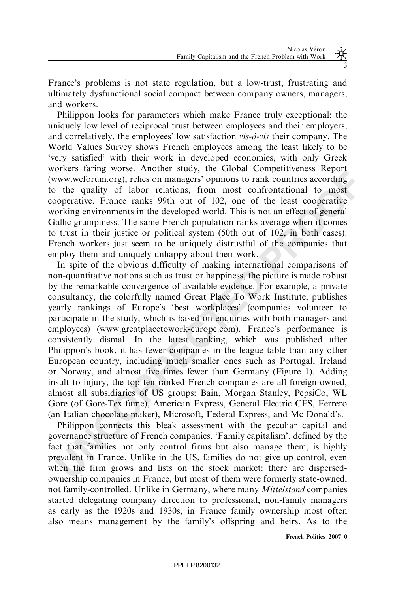France's problems is not state regulation, but a low-trust, frustrating and ultimately dysfunctional social compact between company owners, managers, and workers.

Philippon looks for parameters which make France truly exceptional: the uniquely low level of reciprocal trust between employees and their employers, and correlatively, the employees' low satisfaction  $vis-\hat{a}-vis$  their company. The World Values Survey shows French employees among the least likely to be 'very satisfied' with their work in developed economies, with only Greek workers faring worse. Another study, the Global Competitiveness Report (www.weforum.org), relies on managers' opinions to rank countries according to the quality of labor relations, from most confrontational to most cooperative. France ranks 99th out of 102, one of the least cooperative working environments in the developed world. This is not an effect of general Gallic grumpiness. The same French population ranks average when it comes to trust in their justice or political system (50th out of 102, in both cases). French workers just seem to be uniquely distrustful of the companies that employ them and uniquely unhappy about their work.

External times were transferred to the solution of the constrained in the constrained in the pullity of the quality of labor relations, from most conformational to most opperative. France ranks 99th out of 102, one of the In spite of the obvious difficulty of making international comparisons of non-quantitative notions such as trust or happiness, the picture is made robust by the remarkable convergence of available evidence. For example, a private consultancy, the colorfully named Great Place To Work Institute, publishes yearly rankings of Europe's 'best workplaces' (companies volunteer to participate in the study, which is based on enquiries with both managers and employees) (www.greatplacetowork-europe.com). France's performance is consistently dismal. In the latest ranking, which was published after Philippon's book, it has fewer companies in the league table than any other European country, including much smaller ones such as Portugal, Ireland or Norway, and almost five times fewer than Germany (Figure 1). Adding insult to injury, the top ten ranked French companies are all foreign-owned, almost all subsidiaries of US groups: Bain, Morgan Stanley, PepsiCo, WL Gore (of Gore-Tex fame), American Express, General Electric CFS, Ferrero (an Italian chocolate-maker), Microsoft, Federal Express, and Mc Donald's.

Philippon connects this bleak assessment with the peculiar capital and governance structure of French companies. 'Family capitalism', defined by the fact that families not only control firms but also manage them, is highly prevalent in France. Unlike in the US, families do not give up control, even when the firm grows and lists on the stock market: there are dispersedownership companies in France, but most of them were formerly state-owned, not family-controlled. Unlike in Germany, where many Mittelstand companies started delegating company direction to professional, non-family managers as early as the 1920s and 1930s, in France family ownership most often also means management by the family's offspring and heirs. As to the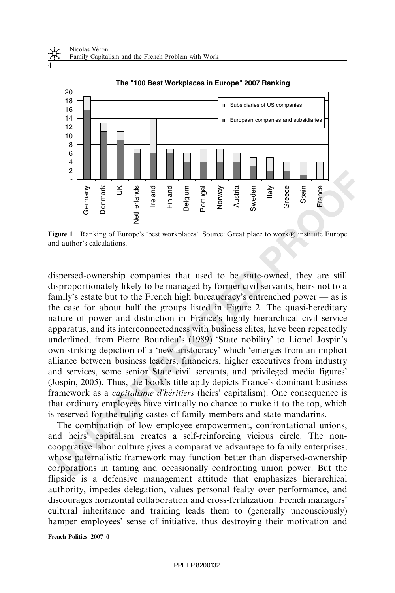

**The "100 Best Workplaces in Europe" 2007 Ranking** 

Figure 1 Ranking of Europe's 'best workplaces'. Source: Great place to work® institute Europe and author's calculations.

**Example 12**<br> **Example 12**<br> **Example 12**<br> **Example 12**<br> **Example 12**<br> **Example 12**<br> **Example 12**<br> **Example 12**<br> **Example 12**<br> **Example 12**<br> **Example 12**<br> **Example 12**<br> **Example 12**<br> **Example 12**<br> **Example 12**<br> **Example 12** dispersed-ownership companies that used to be state-owned, they are still disproportionately likely to be managed by former civil servants, heirs not to a family's estate but to the French high bureaucracy's entrenched power — as is the case for about half the groups listed in Figure 2. The quasi-hereditary nature of power and distinction in France's highly hierarchical civil service apparatus, and its interconnectedness with business elites, have been repeatedly underlined, from Pierre Bourdieu's (1989) 'State nobility' to Lionel Jospin's own striking depiction of a 'new aristocracy' which 'emerges from an implicit alliance between business leaders, financiers, higher executives from industry and services, some senior State civil servants, and privileged media figures' (Jospin, 2005). Thus, the book's title aptly depicts France's dominant business framework as a *capitalisme d'héritiers* (heirs' capitalism). One consequence is that ordinary employees have virtually no chance to make it to the top, which is reserved for the ruling castes of family members and state mandarins.

The combination of low employee empowerment, confrontational unions, and heirs' capitalism creates a self-reinforcing vicious circle. The noncooperative labor culture gives a comparative advantage to family enterprises, whose paternalistic framework may function better than dispersed-ownership corporations in taming and occasionally confronting union power. But the flipside is a defensive management attitude that emphasizes hierarchical authority, impedes delegation, values personal fealty over performance, and discourages horizontal collaboration and cross-fertilization. French managers' cultural inheritance and training leads them to (generally unconsciously) hamper employees' sense of initiative, thus destroying their motivation and

French Politics 2007 0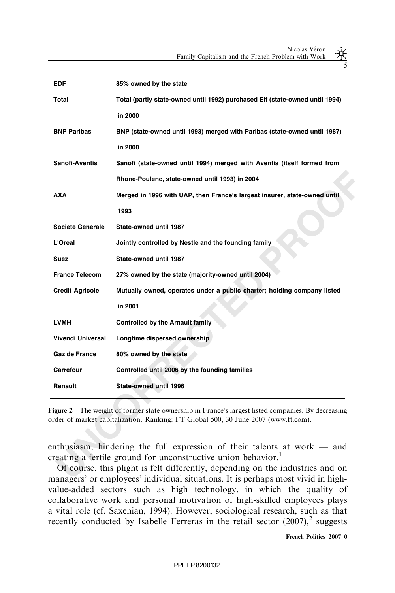5

| EDF                      | 85% owned by the state                                                                                                                                                                                                                                                                                                        |  |  |
|--------------------------|-------------------------------------------------------------------------------------------------------------------------------------------------------------------------------------------------------------------------------------------------------------------------------------------------------------------------------|--|--|
| Total                    | Total (partly state-owned until 1992) purchased Elf (state-owned until 1994)                                                                                                                                                                                                                                                  |  |  |
|                          | in 2000                                                                                                                                                                                                                                                                                                                       |  |  |
| <b>BNP Paribas</b>       | BNP (state-owned until 1993) merged with Paribas (state-owned until 1987)                                                                                                                                                                                                                                                     |  |  |
|                          | in 2000                                                                                                                                                                                                                                                                                                                       |  |  |
| Sanofi-Aventis           | Sanofi (state-owned until 1994) merged with Aventis (itself formed from                                                                                                                                                                                                                                                       |  |  |
|                          | Rhone-Poulenc, state-owned until 1993) in 2004                                                                                                                                                                                                                                                                                |  |  |
| <b>AXA</b>               | Merged in 1996 with UAP, then France's largest insurer, state-owned until                                                                                                                                                                                                                                                     |  |  |
|                          | 1993                                                                                                                                                                                                                                                                                                                          |  |  |
| <b>Societe Generale</b>  | State-owned until 1987                                                                                                                                                                                                                                                                                                        |  |  |
| L'Oreal                  | Jointly controlled by Nestle and the founding family                                                                                                                                                                                                                                                                          |  |  |
| Suez                     | State-owned until 1987                                                                                                                                                                                                                                                                                                        |  |  |
| <b>France Telecom</b>    | 27% owned by the state (majority-owned until 2004)                                                                                                                                                                                                                                                                            |  |  |
| <b>Credit Agricole</b>   | Mutually owned, operates under a public charter; holding company listed                                                                                                                                                                                                                                                       |  |  |
|                          | in 2001                                                                                                                                                                                                                                                                                                                       |  |  |
| <b>LVMH</b>              | <b>Controlled by the Arnault family</b>                                                                                                                                                                                                                                                                                       |  |  |
| <b>Vivendi Universal</b> | Longtime dispersed ownership                                                                                                                                                                                                                                                                                                  |  |  |
| Gaz de France            | 80% owned by the state                                                                                                                                                                                                                                                                                                        |  |  |
| Carrefour                | Controlled until 2006 by the founding families                                                                                                                                                                                                                                                                                |  |  |
| Renault                  | State-owned until 1996                                                                                                                                                                                                                                                                                                        |  |  |
|                          |                                                                                                                                                                                                                                                                                                                               |  |  |
|                          | Figure 2 The weight of former state ownership in France's largest listed companies. By decreasing<br>order of market capitalization. Ranking: FT Global 500, 30 June 2007 (www.ft.com).                                                                                                                                       |  |  |
|                          | enthusiasm, hindering the full expression of their talents at work $-$ and<br>creating a fertile ground for unconstructive union behavior. <sup>1</sup><br>Of course, this plight is felt differently, depending on the industries and on<br>managers' or employees' individual situations. It is perhaps most vivid in high- |  |  |

Of course, this plight is felt differently, depending on the industries and on managers' or employees' individual situations. It is perhaps most vivid in highvalue-added sectors such as high technology, in which the quality of collaborative work and personal motivation of high-skilled employees plays a vital role (cf. Saxenian, 1994). However, sociological research, such as that recently conducted by Isabelle Ferreras in the retail sector  $(2007)$ ,<sup>2</sup> suggests

French Politics 2007 0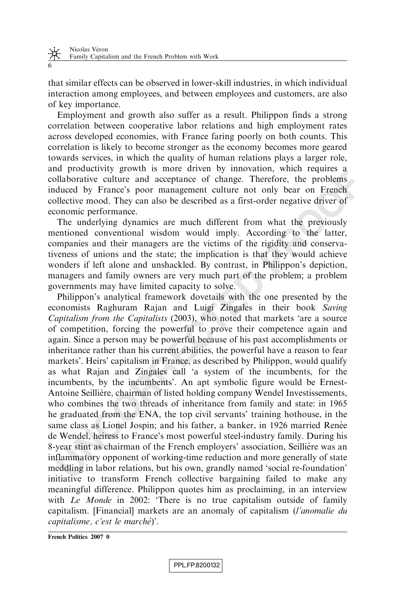that similar effects can be observed in lower-skill industries, in which individual interaction among employees, and between employees and customers, are also of key importance.

Employment and growth also suffer as a result. Philippon finds a strong correlation between cooperative labor relations and high employment rates across developed economies, with France faring poorly on both counts. This correlation is likely to become stronger as the economy becomes more geared towards services, in which the quality of human relations plays a larger role, and productivity growth is more driven by innovation, which requires a collaborative culture and acceptance of change. Therefore, the problems induced by France's poor management culture not only bear on French collective mood. They can also be described as a first-order negative driver of economic performance.

The underlying dynamics are much different from what the previously mentioned conventional wisdom would imply. According to the latter, companies and their managers are the victims of the rigidity and conservativeness of unions and the state; the implication is that they would achieve wonders if left alone and unshackled. By contrast, in Philippon's depiction, managers and family owners are very much part of the problem; a problem governments may have limited capacity to solve.

a procedurity grown is more anter any interesting the meason, when leaded by trance and acceptance of change. Therefore, the problems duced by France's poor management culture not only bear on French of mondialective mod. Philippon's analytical framework dovetails with the one presented by the economists Raghuram Rajan and Luigi Zingales in their book Saving Capitalism from the Capitalists (2003), who noted that markets 'are a source of competition, forcing the powerful to prove their competence again and again. Since a person may be powerful because of his past accomplishments or inheritance rather than his current abilities, the powerful have a reason to fear markets'. Heirs' capitalism in France, as described by Philippon, would qualify as what Rajan and Zingales call 'a system of the incumbents, for the incumbents, by the incumbents'. An apt symbolic figure would be Ernest-Antoine Seillière, chairman of listed holding company Wendel Investissements, who combines the two threads of inheritance from family and state: in 1965 he graduated from the ENA, the top civil servants' training hothouse, in the same class as Lionel Jospin; and his father, a banker, in 1926 married Renée de Wendel, heiress to France's most powerful steel-industry family. During his 8-year stint as chairman of the French employers' association, Seillière was an inflammatory opponent of working-time reduction and more generally of state meddling in labor relations, but his own, grandly named 'social re-foundation' initiative to transform French collective bargaining failed to make any meaningful difference. Philippon quotes him as proclaiming, in an interview with *Le Monde* in 2002: 'There is no true capitalism outside of family capitalism. [Financial] markets are an anomaly of capitalism (l'anomalie du capitalisme, c'est le marché)'.

French Politics 2007 0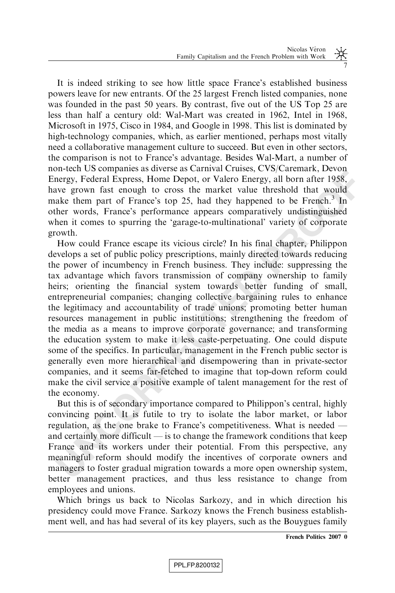It is indeed striking to see how little space France's established business powers leave for new entrants. Of the 25 largest French listed companies, none was founded in the past 50 years. By contrast, five out of the US Top 25 are less than half a century old: Wal-Mart was created in 1962, Intel in 1968, Microsoft in 1975, Cisco in 1984, and Google in 1998. This list is dominated by high-technology companies, which, as earlier mentioned, perhaps most vitally need a collaborative management culture to succeed. But even in other sectors, the comparison is not to France's advantage. Besides Wal-Mart, a number of non-tech US companies as diverse as Carnival Cruises, CVS/Caremark, Devon Energy, Federal Express, Home Depot, or Valero Energy, all born after 1958, have grown fast enough to cross the market value threshold that would make them part of France's top 25, had they happened to be French.<sup>3</sup> In other words, France's performance appears comparatively undistinguished when it comes to spurring the 'garage-to-multinational' variety of corporate growth.

meared consultained and disempendent of the rest, experiment paramet per energy, Federal Express, Home Depot, or Valero Energy, all born after 1988, we grown fast enough to cross the market value threshold that would head How could France escape its vicious circle? In his final chapter, Philippon develops a set of public policy prescriptions, mainly directed towards reducing the power of incumbency in French business. They include: suppressing the tax advantage which favors transmission of company ownership to family heirs; orienting the financial system towards better funding of small, entrepreneurial companies; changing collective bargaining rules to enhance the legitimacy and accountability of trade unions; promoting better human resources management in public institutions; strengthening the freedom of the media as a means to improve corporate governance; and transforming the education system to make it less caste-perpetuating. One could dispute some of the specifics. In particular, management in the French public sector is generally even more hierarchical and disempowering than in private-sector companies, and it seems far-fetched to imagine that top-down reform could make the civil service a positive example of talent management for the rest of the economy.

But this is of secondary importance compared to Philippon's central, highly convincing point. It is futile to try to isolate the labor market, or labor regulation, as the one brake to France's competitiveness. What is needed and certainly more difficult — is to change the framework conditions that keep France and its workers under their potential. From this perspective, any meaningful reform should modify the incentives of corporate owners and managers to foster gradual migration towards a more open ownership system, better management practices, and thus less resistance to change from employees and unions.

Which brings us back to Nicolas Sarkozy, and in which direction his presidency could move France. Sarkozy knows the French business establishment well, and has had several of its key players, such as the Bouygues family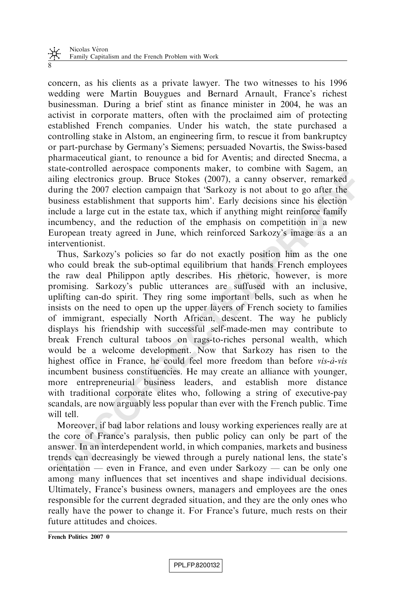concern, as his clients as a private lawyer. The two witnesses to his 1996 wedding were Martin Bouygues and Bernard Arnault, France's richest businessman. During a brief stint as finance minister in 2004, he was an activist in corporate matters, often with the proclaimed aim of protecting established French companies. Under his watch, the state purchased a controlling stake in Alstom, an engineering firm, to rescue it from bankruptcy or part-purchase by Germany's Siemens; persuaded Novartis, the Swiss-based pharmaceutical giant, to renounce a bid for Aventis; and directed Snecma, a state-controlled aerospace components maker, to combine with Sagem, an ailing electronics group. Bruce Stokes (2007), a canny observer, remarked during the 2007 election campaign that 'Sarkozy is not about to go after the business establishment that supports him'. Early decisions since his election include a large cut in the estate tax, which if anything might reinforce family incumbency, and the reduction of the emphasis on competition in a new European treaty agreed in June, which reinforced Sarkozy's image as a an interventionist.

are controlled to the suppose the state of the state of the state of the state of the angle electronics group. Bruce Stokes (2007), a canny observer, remarked tring the 2007 election campaign that 'Sarkoy' is not about to Thus, Sarkozy's policies so far do not exactly position him as the one who could break the sub-optimal equilibrium that hands French employees the raw deal Philippon aptly describes. His rhetoric, however, is more promising. Sarkozy's public utterances are suffused with an inclusive, uplifting can-do spirit. They ring some important bells, such as when he insists on the need to open up the upper layers of French society to families of immigrant, especially North African, descent. The way he publicly displays his friendship with successful self-made-men may contribute to break French cultural taboos on rags-to-riches personal wealth, which would be a welcome development. Now that Sarkozy has risen to the highest office in France, he could feel more freedom than before  $vis-\hat{a}-vis$ incumbent business constituencies. He may create an alliance with younger, more entrepreneurial business leaders, and establish more distance with traditional corporate elites who, following a string of executive-pay scandals, are now arguably less popular than ever with the French public. Time will tell.

Moreover, if bad labor relations and lousy working experiences really are at the core of France's paralysis, then public policy can only be part of the answer. In an interdependent world, in which companies, markets and business trends can decreasingly be viewed through a purely national lens, the state's orientation — even in France, and even under Sarkozy — can be only one among many influences that set incentives and shape individual decisions. Ultimately, France's business owners, managers and employees are the ones responsible for the current degraded situation, and they are the only ones who really have the power to change it. For France's future, much rests on their future attitudes and choices.

French Politics 2007 0

8